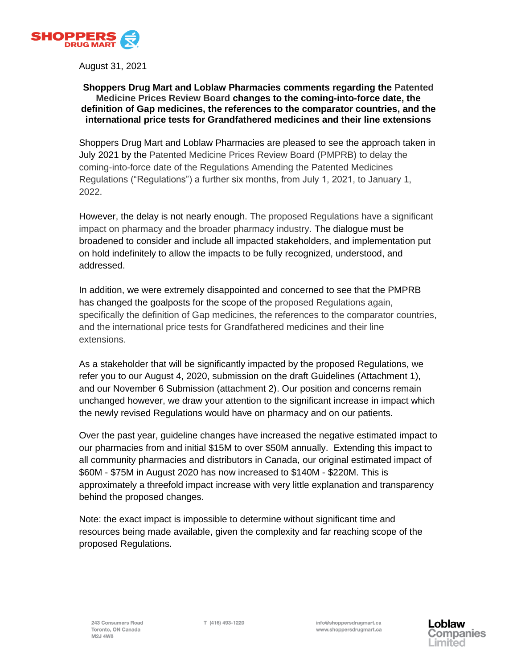

August 31, 2021

### **Shoppers Drug Mart and Loblaw Pharmacies comments regarding the Patented Medicine Prices Review Board changes to the coming-into-force date, the definition of Gap medicines, the references to the comparator countries, and the international price tests for Grandfathered medicines and their line extensions**

Shoppers Drug Mart and Loblaw Pharmacies are pleased to see the approach taken in July 2021 by the Patented Medicine Prices Review Board (PMPRB) to delay the coming-into-force date of the Regulations Amending the Patented Medicines Regulations ("Regulations") a further six months, from July 1, 2021, to January 1, 2022.

However, the delay is not nearly enough. The proposed Regulations have a significant impact on pharmacy and the broader pharmacy industry. The dialogue must be broadened to consider and include all impacted stakeholders, and implementation put on hold indefinitely to allow the impacts to be fully recognized, understood, and addressed.

In addition, we were extremely disappointed and concerned to see that the PMPRB has changed the goalposts for the scope of the proposed Regulations again, specifically the definition of Gap medicines, the references to the comparator countries, and the international price tests for Grandfathered medicines and their line extensions.

As a stakeholder that will be significantly impacted by the proposed Regulations, we refer you to our August 4, 2020, submission on the draft Guidelines (Attachment 1), and our November 6 Submission (attachment 2). Our position and concerns remain unchanged however, we draw your attention to the significant increase in impact which the newly revised Regulations would have on pharmacy and on our patients.

Over the past year, guideline changes have increased the negative estimated impact to our pharmacies from and initial \$15M to over \$50M annually. Extending this impact to all community pharmacies and distributors in Canada, our original estimated impact of \$60M - \$75M in August 2020 has now increased to \$140M - \$220M. This is approximately a threefold impact increase with very little explanation and transparency behind the proposed changes.

Note: the exact impact is impossible to determine without significant time and resources being made available, given the complexity and far reaching scope of the proposed Regulations.

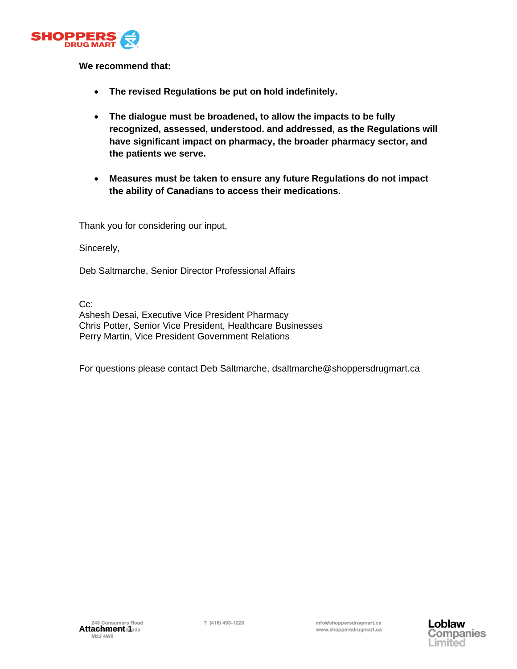

## **We recommend that:**

- **The revised Regulations be put on hold indefinitely.**
- **The dialogue must be broadened, to allow the impacts to be fully recognized, assessed, understood. and addressed, as the Regulations will have significant impact on pharmacy, the broader pharmacy sector, and the patients we serve.**
- **Measures must be taken to ensure any future Regulations do not impact the ability of Canadians to access their medications.**

Thank you for considering our input,

Sincerely,

Deb Saltmarche, Senior Director Professional Affairs

C<sub>c</sub>:

Ashesh Desai, Executive Vice President Pharmacy Chris Potter, Senior Vice President, Healthcare Businesses Perry Martin, Vice President Government Relations

For questions please contact Deb Saltmarche, [dsaltmarche@shoppersdrugmart.ca](mailto:dsaltmarche@shoppersdrugmart.ca)

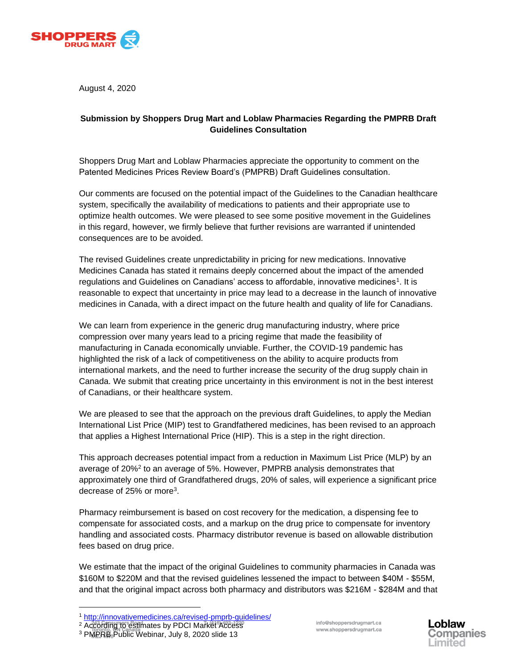

August 4, 2020

## **Submission by Shoppers Drug Mart and Loblaw Pharmacies Regarding the PMPRB Draft Guidelines Consultation**

Shoppers Drug Mart and Loblaw Pharmacies appreciate the opportunity to comment on the Patented Medicines Prices Review Board's (PMPRB) Draft Guidelines consultation.

Our comments are focused on the potential impact of the Guidelines to the Canadian healthcare system, specifically the availability of medications to patients and their appropriate use to optimize health outcomes. We were pleased to see some positive movement in the Guidelines in this regard, however, we firmly believe that further revisions are warranted if unintended consequences are to be avoided.

The revised Guidelines create unpredictability in pricing for new medications. Innovative Medicines Canada has stated it remains deeply concerned about the impact of the amended regulations and Guidelines on Canadians' access to affordable, innovative medicines<sup>[1](#page-2-0)</sup>. It is reasonable to expect that uncertainty in price may lead to a decrease in the launch of innovative medicines in Canada, with a direct impact on the future health and quality of life for Canadians.

We can learn from experience in the generic drug manufacturing industry, where price compression over many years lead to a pricing regime that made the feasibility of manufacturing in Canada economically unviable. Further, the COVID-19 pandemic has highlighted the risk of a lack of competitiveness on the ability to acquire products from international markets, and the need to further increase the security of the drug supply chain in Canada. We submit that creating price uncertainty in this environment is not in the best interest of Canadians, or their healthcare system.

We are pleased to see that the approach on the previous draft Guidelines, to apply the Median International List Price (MIP) test to Grandfathered medicines, has been revised to an approach that applies a Highest International Price (HIP). This is a step in the right direction.

This approach decreases potential impact from a reduction in Maximum List Price (MLP) by an average of 20[%](#page-2-1)<sup>2</sup> to an average of 5%. However, PMPRB analysis demonstrates that approximately one third of Grandfathered drugs, 20% of sales, will experience a significant price decrease of 25% or more<sup>3</sup>[.](#page-2-2)

Pharmacy reimbursement is based on cost recovery for the medication, a dispensing fee to compensate for associated costs, and a markup on the drug price to compensate for inventory handling and associated costs. Pharmacy distributor revenue is based on allowable distribution fees based on drug price.

We estimate that the impact of the original Guidelines to community pharmacies in Canada was \$160M to \$220M and that the revised guidelines lessened the impact to between \$40M - \$55M, and that the original impact across both pharmacy and distributors was \$216M - \$284M and that

info@shoppersdrugmart.ca www.shoppersdrugmart.ca



<span id="page-2-0"></span><sup>1</sup> <http://innovativemedicines.ca/revised-pmprb-guidelines/>

<span id="page-2-1"></span><sup>2</sup> According to estimates by PDCI Market Access

<span id="page-2-2"></span><sup>&</sup>lt;sup>3</sup> PMPRB<sub>8</sub>Public Webinar, July 8, 2020 slide 13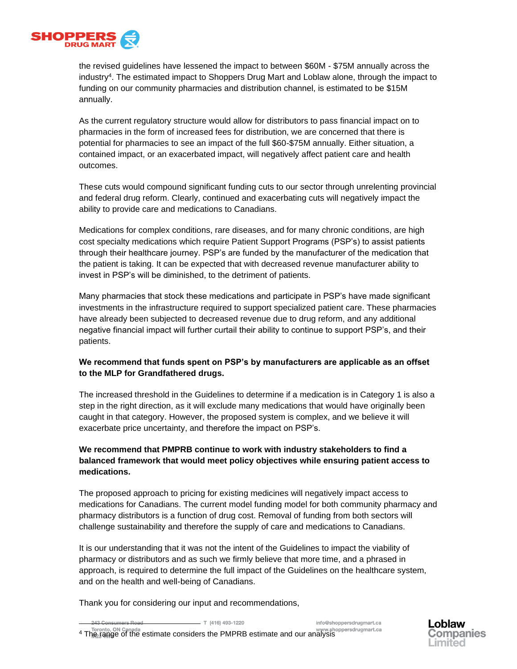

the revised guidelines have lessened the impact to between \$60M - \$75M annually across the industr[y](#page-3-0)<sup>4</sup> . The estimated impact to Shoppers Drug Mart and Loblaw alone, through the impact to funding on our community pharmacies and distribution channel, is estimated to be \$15M annually.

As the current regulatory structure would allow for distributors to pass financial impact on to pharmacies in the form of increased fees for distribution, we are concerned that there is potential for pharmacies to see an impact of the full \$60-\$75M annually. Either situation, a contained impact, or an exacerbated impact, will negatively affect patient care and health outcomes.

These cuts would compound significant funding cuts to our sector through unrelenting provincial and federal drug reform. Clearly, continued and exacerbating cuts will negatively impact the ability to provide care and medications to Canadians.

Medications for complex conditions, rare diseases, and for many chronic conditions, are high cost specialty medications which require Patient Support Programs (PSP's) to assist patients through their healthcare journey. PSP's are funded by the manufacturer of the medication that the patient is taking. It can be expected that with decreased revenue manufacturer ability to invest in PSP's will be diminished, to the detriment of patients.

Many pharmacies that stock these medications and participate in PSP's have made significant investments in the infrastructure required to support specialized patient care. These pharmacies have already been subjected to decreased revenue due to drug reform, and any additional negative financial impact will further curtail their ability to continue to support PSP's, and their patients.

### **We recommend that funds spent on PSP's by manufacturers are applicable as an offset to the MLP for Grandfathered drugs.**

The increased threshold in the Guidelines to determine if a medication is in Category 1 is also a step in the right direction, as it will exclude many medications that would have originally been caught in that category. However, the proposed system is complex, and we believe it will exacerbate price uncertainty, and therefore the impact on PSP's.

## **We recommend that PMPRB continue to work with industry stakeholders to find a balanced framework that would meet policy objectives while ensuring patient access to medications.**

The proposed approach to pricing for existing medicines will negatively impact access to medications for Canadians. The current model funding model for both community pharmacy and pharmacy distributors is a function of drug cost. Removal of funding from both sectors will challenge sustainability and therefore the supply of care and medications to Canadians.

It is our understanding that it was not the intent of the Guidelines to impact the viability of pharmacy or distributors and as such we firmly believe that more time, and a phrased in approach, is required to determine the full impact of the Guidelines on the healthcare system, and on the health and well-being of Canadians.

Thank you for considering our input and recommendations,

 $T$  (416) 493-1220

info@shoppersdrugmart.ca

<span id="page-3-0"></span>Toronto, ON Canada<br>4 The range of the estimate considers the PMPRB estimate and our analysis

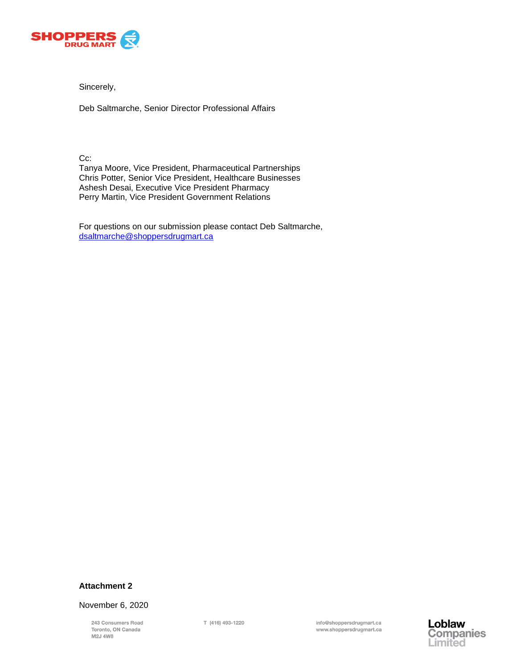

Sincerely,

Deb Saltmarche, Senior Director Professional Affairs

Cc:

Tanya Moore, Vice President, Pharmaceutical Partnerships Chris Potter, Senior Vice President, Healthcare Businesses Ashesh Desai, Executive Vice President Pharmacy Perry Martin, Vice President Government Relations

For questions on our submission please contact Deb Saltmarche, [dsaltmarche@shoppersdrugmart.ca](mailto:dsaltmarche@shoppersdrugmart.ca)

# **Attachment 2**

November 6, 2020

243 Consumers Road Toronto, ON Canada M2J 4W8

T (416) 493-1220